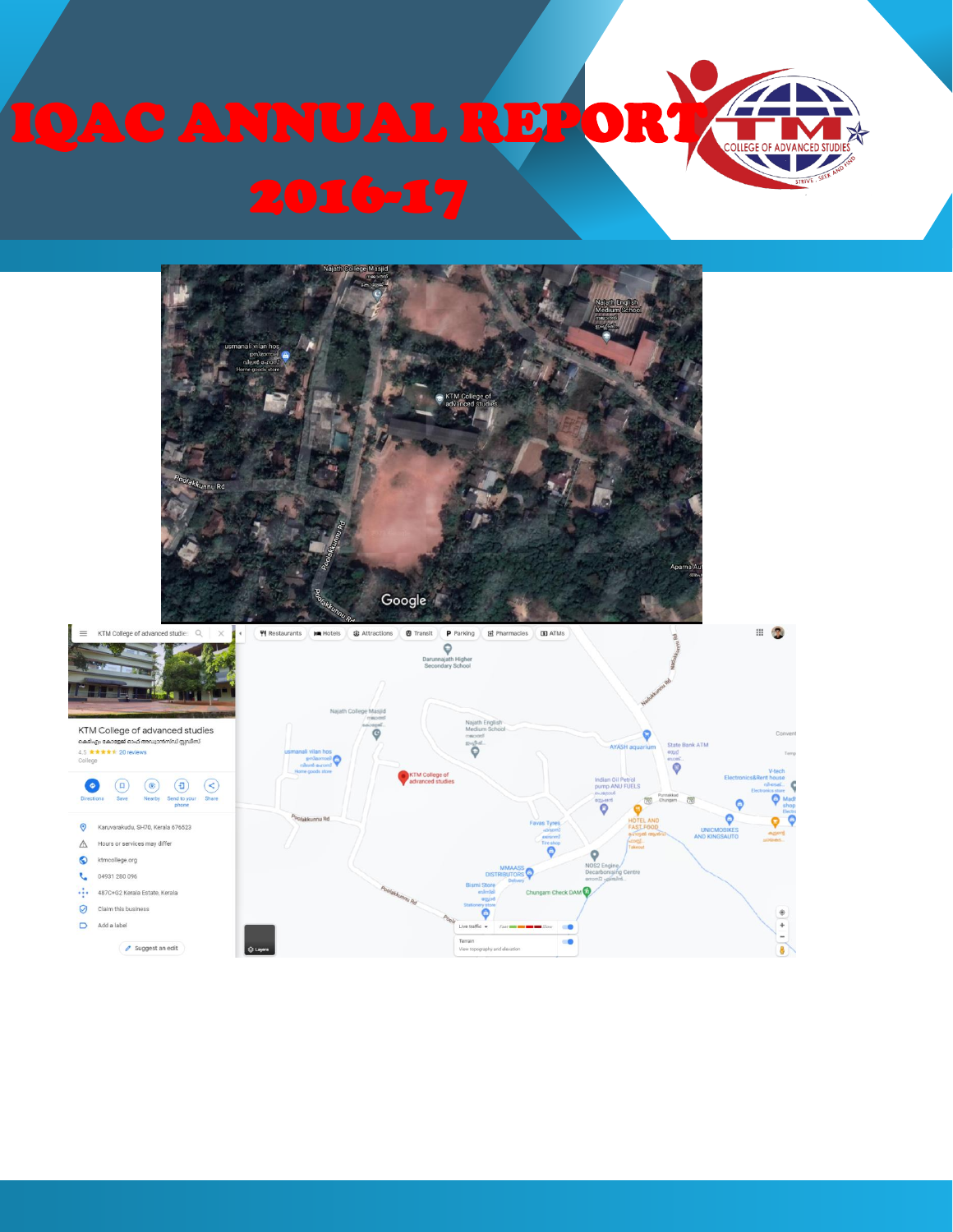



 $\hat{\mathbf{e}}$ 

 $\ddot{}$ 

 $\mathbf{a}$ 

Karuvarakudu, SH70, Kerala 676523 A Hours or services may differ ktmcollege.org **t** 04931 280 096 ... 487C+G2 Kerala Estate, Kerala Claim this business

Suggest an edit

 $\Box$  Add a label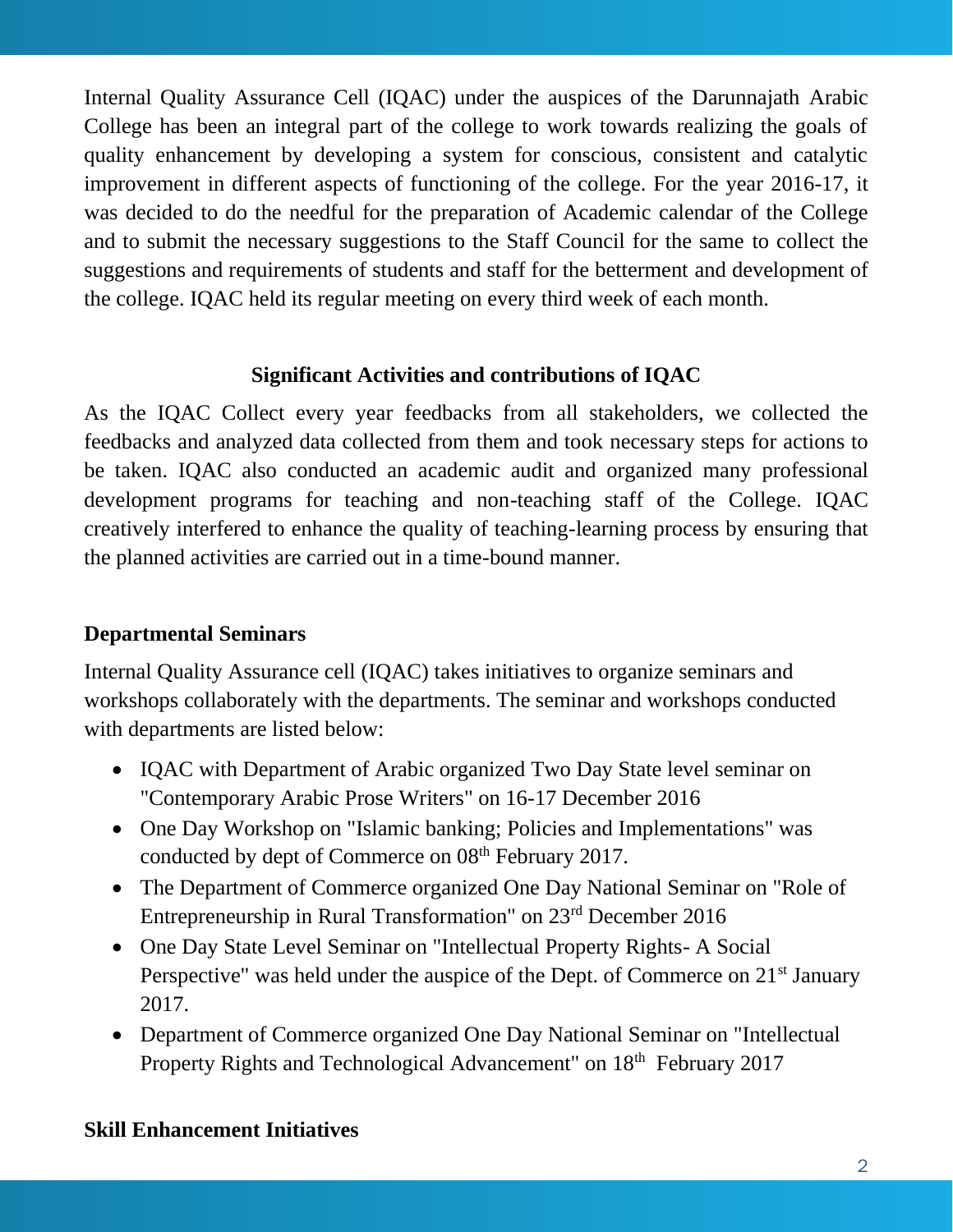Internal Quality Assurance Cell (IQAC) under the auspices of the Darunnajath Arabic College has been an integral part of the college to work towards realizing the goals of quality enhancement by developing a system for conscious, consistent and catalytic improvement in different aspects of functioning of the college. For the year 2016-17, it was decided to do the needful for the preparation of Academic calendar of the College and to submit the necessary suggestions to the Staff Council for the same to collect the suggestions and requirements of students and staff for the betterment and development of the college. IQAC held its regular meeting on every third week of each month.

### **Significant Activities and contributions of IQAC**

As the IQAC Collect every year feedbacks from all stakeholders, we collected the feedbacks and analyzed data collected from them and took necessary steps for actions to be taken. IQAC also conducted an academic audit and organized many professional development programs for teaching and non-teaching staff of the College. IQAC creatively interfered to enhance the quality of teaching-learning process by ensuring that the planned activities are carried out in a time-bound manner.

#### **Departmental Seminars**

Internal Quality Assurance cell (IQAC) takes initiatives to organize seminars and workshops collaborately with the departments. The seminar and workshops conducted with departments are listed below:

- IQAC with Department of Arabic organized Two Day State level seminar on "Contemporary Arabic Prose Writers" on 16-17 December 2016
- One Day Workshop on "Islamic banking; Policies and Implementations" was conducted by dept of Commerce on 08<sup>th</sup> February 2017.
- The Department of Commerce organized One Day National Seminar on "Role of Entrepreneurship in Rural Transformation" on 23rd December 2016
- One Day State Level Seminar on "Intellectual Property Rights- A Social Perspective" was held under the auspice of the Dept. of Commerce on 21<sup>st</sup> January 2017.
- Department of Commerce organized One Day National Seminar on "Intellectual Property Rights and Technological Advancement" on 18<sup>th</sup> February 2017

#### **Skill Enhancement Initiatives**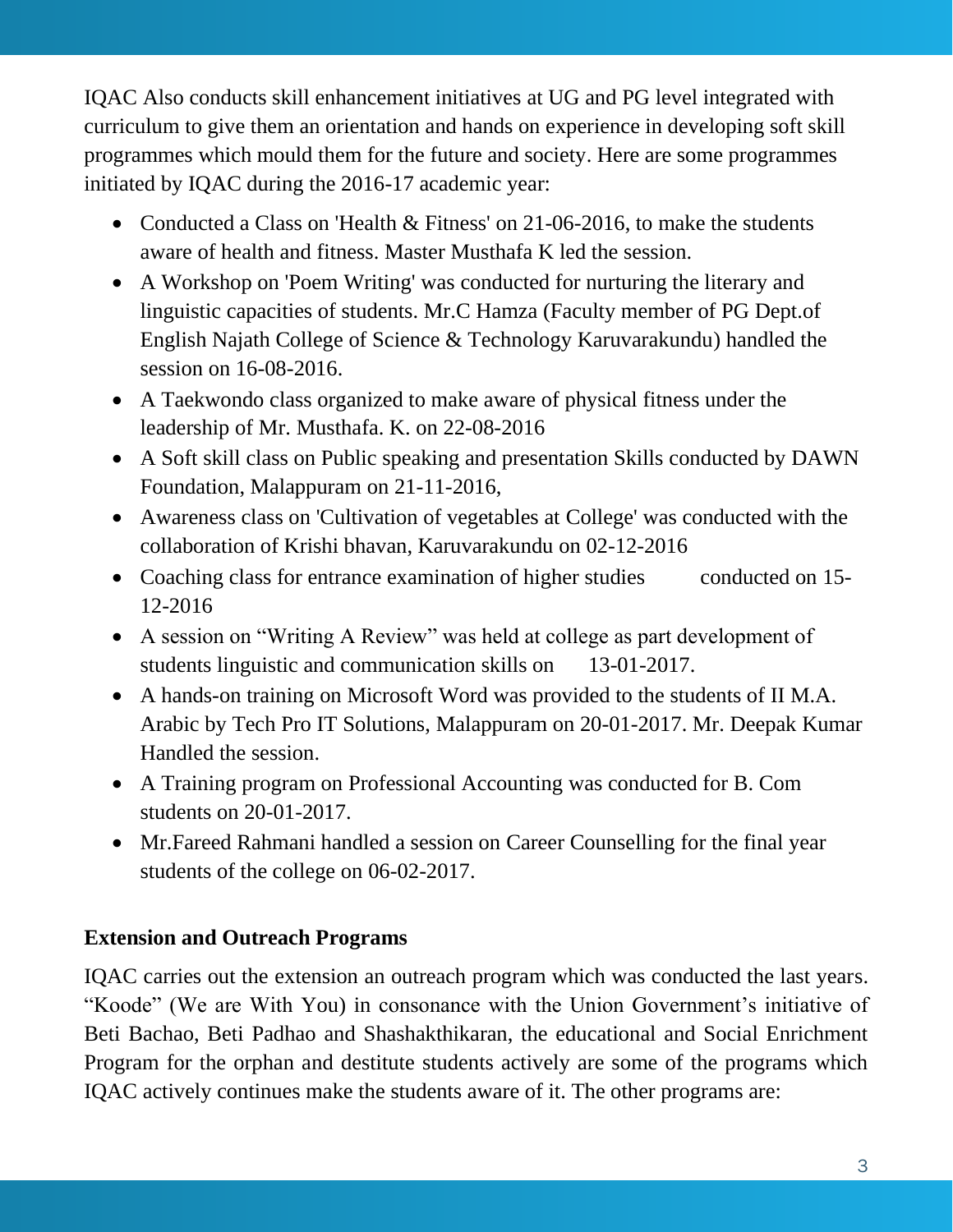IQAC Also conducts skill enhancement initiatives at UG and PG level integrated with curriculum to give them an orientation and hands on experience in developing soft skill programmes which mould them for the future and society. Here are some programmes initiated by IQAC during the 2016-17 academic year:

- Conducted a Class on 'Health & Fitness' on 21-06-2016, to make the students aware of health and fitness. Master Musthafa K led the session.
- A Workshop on 'Poem Writing' was conducted for nurturing the literary and linguistic capacities of students. Mr.C Hamza (Faculty member of PG Dept.of English Najath College of Science & Technology Karuvarakundu) handled the session on 16-08-2016.
- A Taekwondo class organized to make aware of physical fitness under the leadership of Mr. Musthafa. K. on 22-08-2016
- A Soft skill class on Public speaking and presentation Skills conducted by DAWN Foundation, Malappuram on 21-11-2016,
- Awareness class on 'Cultivation of vegetables at College' was conducted with the collaboration of Krishi bhavan, Karuvarakundu on 02-12-2016
- Coaching class for entrance examination of higher studies conducted on 15-12-2016
- A session on "Writing A Review" was held at college as part development of students linguistic and communication skills on 13-01-2017.
- A hands-on training on Microsoft Word was provided to the students of II M.A. Arabic by Tech Pro IT Solutions, Malappuram on 20-01-2017. Mr. Deepak Kumar Handled the session.
- A Training program on Professional Accounting was conducted for B. Com students on 20-01-2017.
- Mr.Fareed Rahmani handled a session on Career Counselling for the final year students of the college on 06-02-2017.

## **Extension and Outreach Programs**

IQAC carries out the extension an outreach program which was conducted the last years. "Koode" (We are With You) in consonance with the Union Government's initiative of Beti Bachao, Beti Padhao and Shashakthikaran, the educational and Social Enrichment Program for the orphan and destitute students actively are some of the programs which IQAC actively continues make the students aware of it. The other programs are: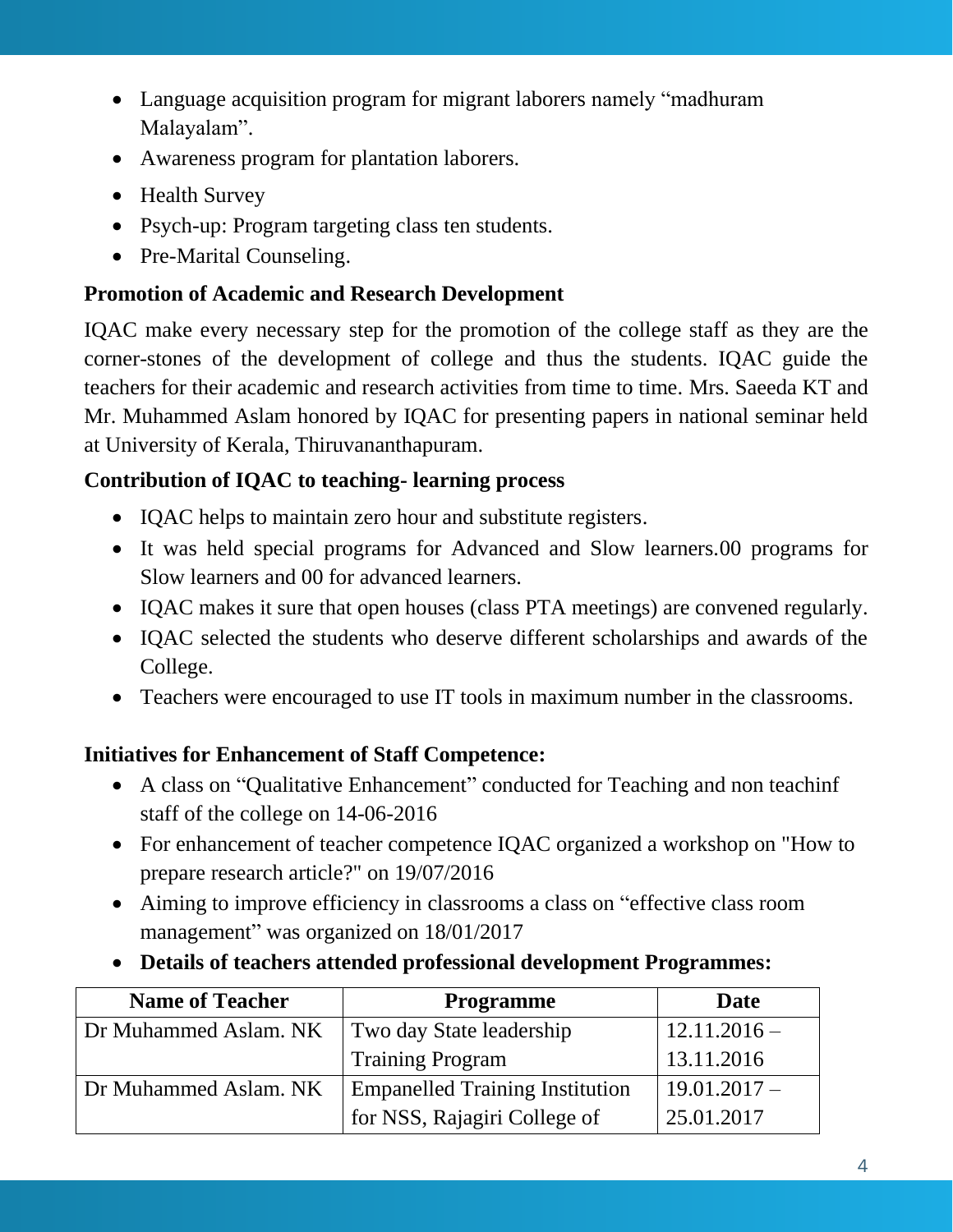- Language acquisition program for migrant laborers namely "madhuram Malayalam".
- Awareness program for plantation laborers.
- Health Survey
- Psych-up: Program targeting class ten students.
- Pre-Marital Counseling.

# **Promotion of Academic and Research Development**

IQAC make every necessary step for the promotion of the college staff as they are the corner-stones of the development of college and thus the students. IQAC guide the teachers for their academic and research activities from time to time. Mrs. Saeeda KT and Mr. Muhammed Aslam honored by IQAC for presenting papers in national seminar held at University of Kerala, Thiruvananthapuram.

# **Contribution of IQAC to teaching- learning process**

- IQAC helps to maintain zero hour and substitute registers.
- It was held special programs for Advanced and Slow learners.00 programs for Slow learners and 00 for advanced learners.
- IQAC makes it sure that open houses (class PTA meetings) are convened regularly.
- IQAC selected the students who deserve different scholarships and awards of the College.
- Teachers were encouraged to use IT tools in maximum number in the classrooms.

## **Initiatives for Enhancement of Staff Competence:**

- A class on "Qualitative Enhancement" conducted for Teaching and non teachinf staff of the college on 14-06-2016
- For enhancement of teacher competence IQAC organized a workshop on "How to prepare research article?" on 19/07/2016
- Aiming to improve efficiency in classrooms a class on "effective class room management" was organized on 18/01/2017
- **Details of teachers attended professional development Programmes:**

| <b>Name of Teacher</b> | <b>Programme</b>                       | <b>Date</b>    |
|------------------------|----------------------------------------|----------------|
| Dr Muhammed Aslam. NK  | Two day State leadership               | $12.11.2016 -$ |
|                        | <b>Training Program</b>                | 13.11.2016     |
| Dr Muhammed Aslam. NK  | <b>Empanelled Training Institution</b> | $19.01.2017 -$ |
|                        | for NSS, Rajagiri College of           | 25.01.2017     |